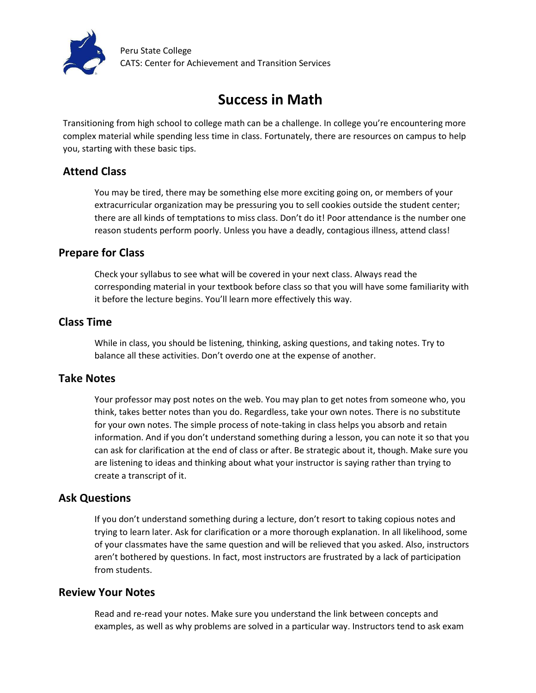

Peru State College CATS: Center for Achievement and Transition Services

# **Success in Math**

Transitioning from high school to college math can be a challenge. In college you're encountering more complex material while spending less time in class. Fortunately, there are resources on campus to help you, starting with these basic tips.

# **Attend Class**

You may be tired, there may be something else more exciting going on, or members of your extracurricular organization may be pressuring you to sell cookies outside the student center; there are all kinds of temptations to miss class. Don't do it! Poor attendance is the number one reason students perform poorly. Unless you have a deadly, contagious illness, attend class!

# **Prepare for Class**

Check your syllabus to see what will be covered in your next class. Always read the corresponding material in your textbook before class so that you will have some familiarity with it before the lecture begins. You'll learn more effectively this way.

## **Class Time**

While in class, you should be listening, thinking, asking questions, and taking notes. Try to balance all these activities. Don't overdo one at the expense of another.

# **Take Notes**

Your professor may post notes on the web. You may plan to get notes from someone who, you think, takes better notes than you do. Regardless, take your own notes. There is no substitute for your own notes. The simple process of note-taking in class helps you absorb and retain information. And if you don't understand something during a lesson, you can note it so that you can ask for clarification at the end of class or after. Be strategic about it, though. Make sure you are listening to ideas and thinking about what your instructor is saying rather than trying to create a transcript of it.

# **Ask Questions**

If you don't understand something during a lecture, don't resort to taking copious notes and trying to learn later. Ask for clarification or a more thorough explanation. In all likelihood, some of your classmates have the same question and will be relieved that you asked. Also, instructors aren't bothered by questions. In fact, most instructors are frustrated by a lack of participation from students.

### **Review Your Notes**

Read and re-read your notes. Make sure you understand the link between concepts and examples, as well as why problems are solved in a particular way. Instructors tend to ask exam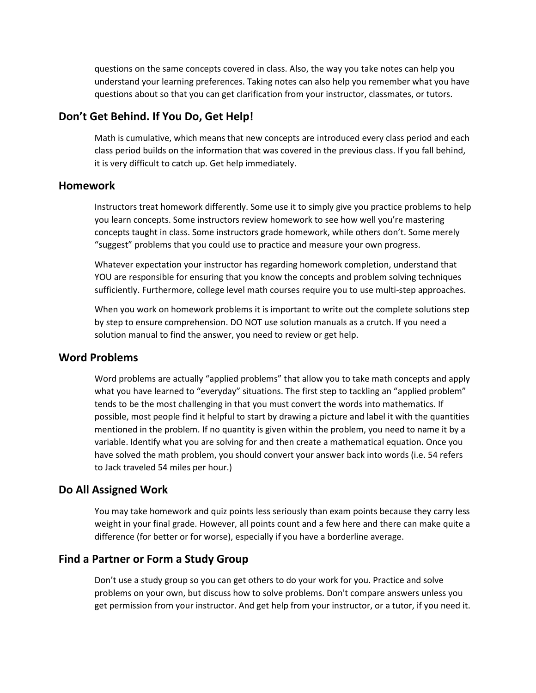questions on the same concepts covered in class. Also, the way you take notes can help you understand your learning preferences. Taking notes can also help you remember what you have questions about so that you can get clarification from your instructor, classmates, or tutors.

#### **Don't Get Behind. If You Do, Get Help!**

Math is cumulative, which means that new concepts are introduced every class period and each class period builds on the information that was covered in the previous class. If you fall behind, it is very difficult to catch up. Get help immediately.

#### **Homework**

Instructors treat homework differently. Some use it to simply give you practice problems to help you learn concepts. Some instructors review homework to see how well you're mastering concepts taught in class. Some instructors grade homework, while others don't. Some merely "suggest" problems that you could use to practice and measure your own progress.

Whatever expectation your instructor has regarding homework completion, understand that YOU are responsible for ensuring that you know the concepts and problem solving techniques sufficiently. Furthermore, college level math courses require you to use multi-step approaches.

When you work on homework problems it is important to write out the complete solutions step by step to ensure comprehension. DO NOT use solution manuals as a crutch. If you need a solution manual to find the answer, you need to review or get help.

#### **Word Problems**

Word problems are actually "applied problems" that allow you to take math concepts and apply what you have learned to "everyday" situations. The first step to tackling an "applied problem" tends to be the most challenging in that you must convert the words into mathematics. If possible, most people find it helpful to start by drawing a picture and label it with the quantities mentioned in the problem. If no quantity is given within the problem, you need to name it by a variable. Identify what you are solving for and then create a mathematical equation. Once you have solved the math problem, you should convert your answer back into words (i.e. 54 refers to Jack traveled 54 miles per hour.)

#### **Do All Assigned Work**

You may take homework and quiz points less seriously than exam points because they carry less weight in your final grade. However, all points count and a few here and there can make quite a difference (for better or for worse), especially if you have a borderline average.

## **Find a Partner or Form a Study Group**

Don't use a study group so you can get others to do your work for you. Practice and solve problems on your own, but discuss how to solve problems. Don't compare answers unless you get permission from your instructor. And get help from your instructor, or a tutor, if you need it.